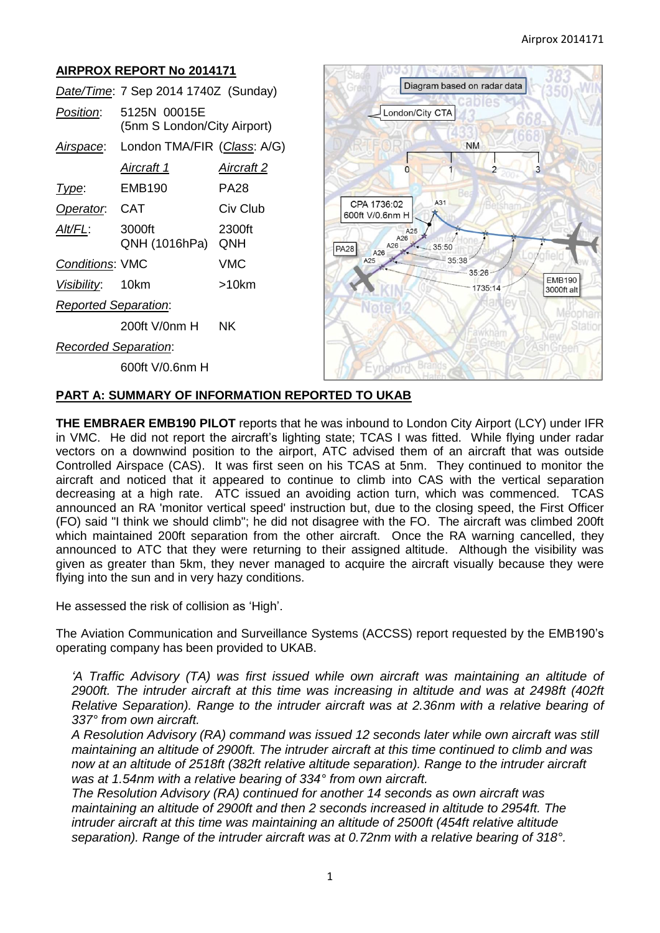# **AIRPROX REPORT No 2014171**

|                             | Date/Time: 7 Sep 2014 1740Z (Sunday)        |               |
|-----------------------------|---------------------------------------------|---------------|
| <i>Position</i> :           | 5125N 00015E<br>(5nm S London/City Airport) |               |
|                             | Airspace: London TMA/FIR (Class: A/G)       |               |
|                             | <u>Aircraft 1</u>                           | Aircraft 2    |
| Type:                       | EMB190                                      | PA28          |
| Operator. CAT               |                                             | Civ Club      |
| Alt/FL:                     | 3000ft<br>QNH (1016hPa)                     | 2300ft<br>QNH |
| <b>Conditions: VMC</b>      |                                             | VMC           |
| Visibility: 10km            |                                             | >10km         |
| <b>Reported Separation:</b> |                                             |               |
|                             | 200ft V/0nm H                               | ΝK            |
| <b>Recorded Separation:</b> |                                             |               |
|                             | 600ft V/0.6nm H                             |               |



### **PART A: SUMMARY OF INFORMATION REPORTED TO UKAB**

**THE EMBRAER EMB190 PILOT** reports that he was inbound to London City Airport (LCY) under IFR in VMC. He did not report the aircraft's lighting state; TCAS I was fitted. While flying under radar vectors on a downwind position to the airport, ATC advised them of an aircraft that was outside Controlled Airspace (CAS). It was first seen on his TCAS at 5nm. They continued to monitor the aircraft and noticed that it appeared to continue to climb into CAS with the vertical separation decreasing at a high rate. ATC issued an avoiding action turn, which was commenced. TCAS announced an RA 'monitor vertical speed' instruction but, due to the closing speed, the First Officer (FO) said "I think we should climb"; he did not disagree with the FO. The aircraft was climbed 200ft which maintained 200ft separation from the other aircraft. Once the RA warning cancelled, they announced to ATC that they were returning to their assigned altitude. Although the visibility was given as greater than 5km, they never managed to acquire the aircraft visually because they were flying into the sun and in very hazy conditions.

He assessed the risk of collision as 'High'.

The Aviation Communication and Surveillance Systems (ACCSS) report requested by the EMB190's operating company has been provided to UKAB.

*'A Traffic Advisory (TA) was first issued while own aircraft was maintaining an altitude of 2900ft. The intruder aircraft at this time was increasing in altitude and was at 2498ft (402ft Relative Separation). Range to the intruder aircraft was at 2.36nm with a relative bearing of 337° from own aircraft.* 

*A Resolution Advisory (RA) command was issued 12 seconds later while own aircraft was still maintaining an altitude of 2900ft. The intruder aircraft at this time continued to climb and was now at an altitude of 2518ft (382ft relative altitude separation). Range to the intruder aircraft was at 1.54nm with a relative bearing of 334° from own aircraft.* 

*The Resolution Advisory (RA) continued for another 14 seconds as own aircraft was maintaining an altitude of 2900ft and then 2 seconds increased in altitude to 2954ft. The intruder aircraft at this time was maintaining an altitude of 2500ft (454ft relative altitude*  separation). Range of the intruder aircraft was at 0.72nm with a relative bearing of 318°.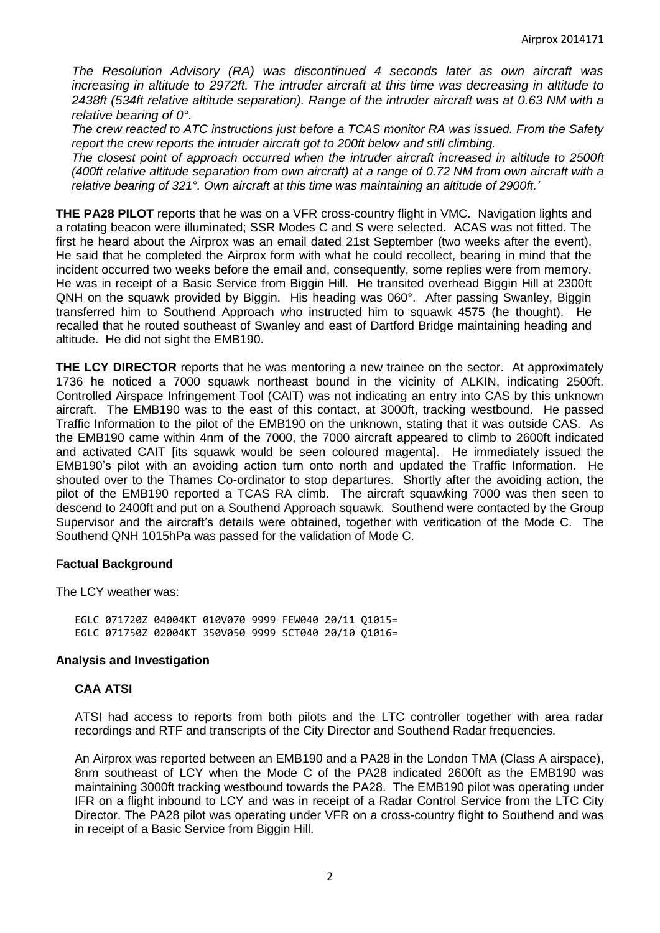*The Resolution Advisory (RA) was discontinued 4 seconds later as own aircraft was increasing in altitude to 2972ft. The intruder aircraft at this time was decreasing in altitude to 2438ft (534ft relative altitude separation). Range of the intruder aircraft was at 0.63 NM with a relative bearing of 0°.*

*The crew reacted to ATC instructions just before a TCAS monitor RA was issued. From the Safety report the crew reports the intruder aircraft got to 200ft below and still climbing.* 

*The closest point of approach occurred when the intruder aircraft increased in altitude to 2500ft (400ft relative altitude separation from own aircraft) at a range of 0.72 NM from own aircraft with a relative bearing of 321°. Own aircraft at this time was maintaining an altitude of 2900ft.'*

**THE PA28 PILOT** reports that he was on a VFR cross-country flight in VMC. Navigation lights and a rotating beacon were illuminated; SSR Modes C and S were selected. ACAS was not fitted. The first he heard about the Airprox was an email dated 21st September (two weeks after the event). He said that he completed the Airprox form with what he could recollect, bearing in mind that the incident occurred two weeks before the email and, consequently, some replies were from memory. He was in receipt of a Basic Service from Biggin Hill. He transited overhead Biggin Hill at 2300ft QNH on the squawk provided by Biggin. His heading was 060°. After passing Swanley, Biggin transferred him to Southend Approach who instructed him to squawk 4575 (he thought). He recalled that he routed southeast of Swanley and east of Dartford Bridge maintaining heading and altitude. He did not sight the EMB190.

**THE LCY DIRECTOR** reports that he was mentoring a new trainee on the sector. At approximately 1736 he noticed a 7000 squawk northeast bound in the vicinity of ALKIN, indicating 2500ft. Controlled Airspace Infringement Tool (CAIT) was not indicating an entry into CAS by this unknown aircraft. The EMB190 was to the east of this contact, at 3000ft, tracking westbound. He passed Traffic Information to the pilot of the EMB190 on the unknown, stating that it was outside CAS. As the EMB190 came within 4nm of the 7000, the 7000 aircraft appeared to climb to 2600ft indicated and activated CAIT [its squawk would be seen coloured magenta]. He immediately issued the EMB190's pilot with an avoiding action turn onto north and updated the Traffic Information. He shouted over to the Thames Co-ordinator to stop departures. Shortly after the avoiding action, the pilot of the EMB190 reported a TCAS RA climb. The aircraft squawking 7000 was then seen to descend to 2400ft and put on a Southend Approach squawk. Southend were contacted by the Group Supervisor and the aircraft's details were obtained, together with verification of the Mode C. The Southend QNH 1015hPa was passed for the validation of Mode C.

### **Factual Background**

The LCY weather was:

EGLC 071720Z 04004KT 010V070 9999 FEW040 20/11 Q1015= EGLC 071750Z 02004KT 350V050 9999 SCT040 20/10 Q1016=

#### **Analysis and Investigation**

### **CAA ATSI**

ATSI had access to reports from both pilots and the LTC controller together with area radar recordings and RTF and transcripts of the City Director and Southend Radar frequencies.

An Airprox was reported between an EMB190 and a PA28 in the London TMA (Class A airspace), 8nm southeast of LCY when the Mode C of the PA28 indicated 2600ft as the EMB190 was maintaining 3000ft tracking westbound towards the PA28. The EMB190 pilot was operating under IFR on a flight inbound to LCY and was in receipt of a Radar Control Service from the LTC City Director. The PA28 pilot was operating under VFR on a cross-country flight to Southend and was in receipt of a Basic Service from Biggin Hill.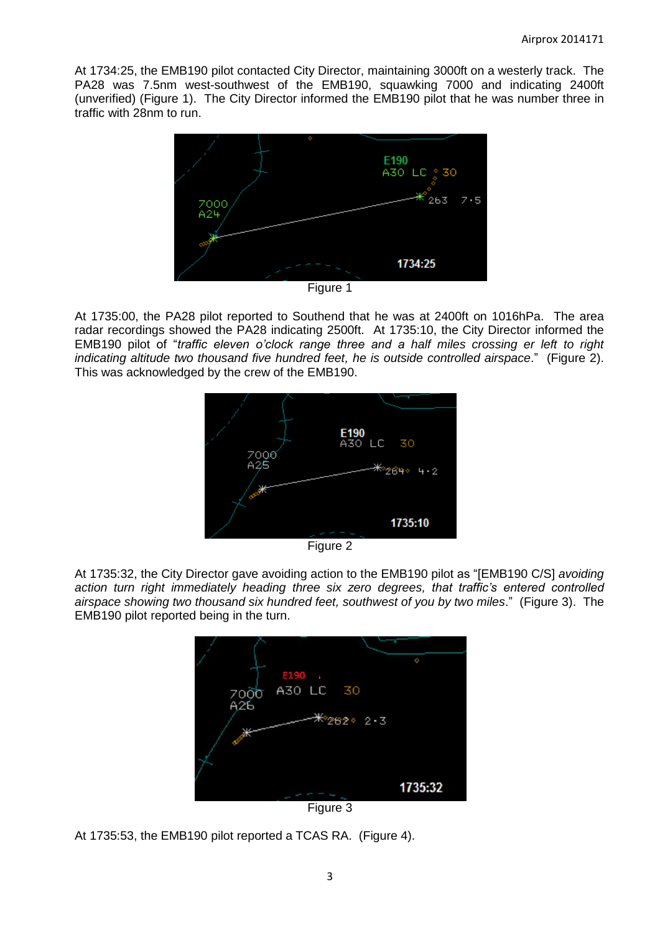At 1734:25, the EMB190 pilot contacted City Director, maintaining 3000ft on a westerly track. The PA28 was 7.5nm west-southwest of the EMB190, squawking 7000 and indicating 2400ft (unverified) (Figure 1). The City Director informed the EMB190 pilot that he was number three in traffic with 28nm to run.



At 1735:00, the PA28 pilot reported to Southend that he was at 2400ft on 1016hPa. The area radar recordings showed the PA28 indicating 2500ft. At 1735:10, the City Director informed the EMB190 pilot of "*traffic eleven o'clock range three and a half miles crossing er left to right indicating altitude two thousand five hundred feet, he is outside controlled airspace*." (Figure 2). This was acknowledged by the crew of the EMB190.





At 1735:32, the City Director gave avoiding action to the EMB190 pilot as "[EMB190 C/S] *avoiding action turn right immediately heading three six zero degrees, that traffic's entered controlled airspace showing two thousand six hundred feet, southwest of you by two miles*." (Figure 3). The EMB190 pilot reported being in the turn.



Figure 3

At 1735:53, the EMB190 pilot reported a TCAS RA. (Figure 4).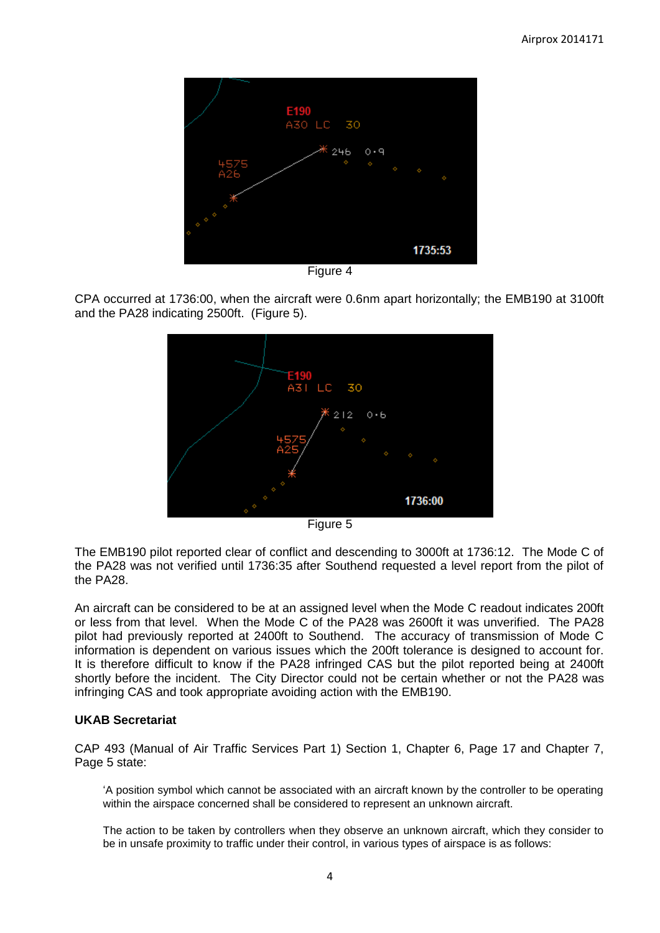

Figure 4

CPA occurred at 1736:00, when the aircraft were 0.6nm apart horizontally; the EMB190 at 3100ft and the PA28 indicating 2500ft. (Figure 5).



Figure 5

The EMB190 pilot reported clear of conflict and descending to 3000ft at 1736:12. The Mode C of the PA28 was not verified until 1736:35 after Southend requested a level report from the pilot of the PA28.

An aircraft can be considered to be at an assigned level when the Mode C readout indicates 200ft or less from that level. When the Mode C of the PA28 was 2600ft it was unverified. The PA28 pilot had previously reported at 2400ft to Southend. The accuracy of transmission of Mode C information is dependent on various issues which the 200ft tolerance is designed to account for. It is therefore difficult to know if the PA28 infringed CAS but the pilot reported being at 2400ft shortly before the incident. The City Director could not be certain whether or not the PA28 was infringing CAS and took appropriate avoiding action with the EMB190.

### **UKAB Secretariat**

CAP 493 (Manual of Air Traffic Services Part 1) Section 1, Chapter 6, Page 17 and Chapter 7, Page 5 state:

'A position symbol which cannot be associated with an aircraft known by the controller to be operating within the airspace concerned shall be considered to represent an unknown aircraft.

The action to be taken by controllers when they observe an unknown aircraft, which they consider to be in unsafe proximity to traffic under their control, in various types of airspace is as follows: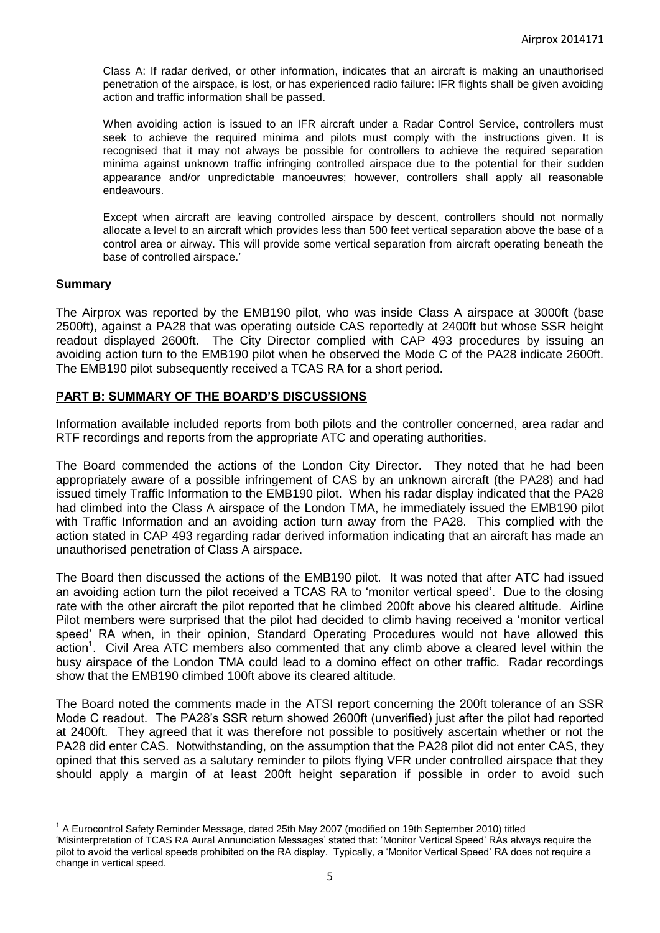Class A: If radar derived, or other information, indicates that an aircraft is making an unauthorised penetration of the airspace, is lost, or has experienced radio failure: IFR flights shall be given avoiding action and traffic information shall be passed.

When avoiding action is issued to an IFR aircraft under a Radar Control Service, controllers must seek to achieve the required minima and pilots must comply with the instructions given. It is recognised that it may not always be possible for controllers to achieve the required separation minima against unknown traffic infringing controlled airspace due to the potential for their sudden appearance and/or unpredictable manoeuvres; however, controllers shall apply all reasonable endeavours.

Except when aircraft are leaving controlled airspace by descent, controllers should not normally allocate a level to an aircraft which provides less than 500 feet vertical separation above the base of a control area or airway. This will provide some vertical separation from aircraft operating beneath the base of controlled airspace.'

#### **Summary**

 $\overline{\phantom{a}}$ 

The Airprox was reported by the EMB190 pilot, who was inside Class A airspace at 3000ft (base 2500ft), against a PA28 that was operating outside CAS reportedly at 2400ft but whose SSR height readout displayed 2600ft. The City Director complied with CAP 493 procedures by issuing an avoiding action turn to the EMB190 pilot when he observed the Mode C of the PA28 indicate 2600ft. The EMB190 pilot subsequently received a TCAS RA for a short period.

### **PART B: SUMMARY OF THE BOARD'S DISCUSSIONS**

Information available included reports from both pilots and the controller concerned, area radar and RTF recordings and reports from the appropriate ATC and operating authorities.

The Board commended the actions of the London City Director. They noted that he had been appropriately aware of a possible infringement of CAS by an unknown aircraft (the PA28) and had issued timely Traffic Information to the EMB190 pilot. When his radar display indicated that the PA28 had climbed into the Class A airspace of the London TMA, he immediately issued the EMB190 pilot with Traffic Information and an avoiding action turn away from the PA28. This complied with the action stated in CAP 493 regarding radar derived information indicating that an aircraft has made an unauthorised penetration of Class A airspace.

The Board then discussed the actions of the EMB190 pilot. It was noted that after ATC had issued an avoiding action turn the pilot received a TCAS RA to 'monitor vertical speed'. Due to the closing rate with the other aircraft the pilot reported that he climbed 200ft above his cleared altitude. Airline Pilot members were surprised that the pilot had decided to climb having received a 'monitor vertical speed' RA when, in their opinion, Standard Operating Procedures would not have allowed this action<sup>1</sup>. Civil Area ATC members also commented that any climb above a cleared level within the busy airspace of the London TMA could lead to a domino effect on other traffic. Radar recordings show that the EMB190 climbed 100ft above its cleared altitude.

The Board noted the comments made in the ATSI report concerning the 200ft tolerance of an SSR Mode C readout. The PA28's SSR return showed 2600ft (unverified) just after the pilot had reported at 2400ft. They agreed that it was therefore not possible to positively ascertain whether or not the PA28 did enter CAS. Notwithstanding, on the assumption that the PA28 pilot did not enter CAS, they opined that this served as a salutary reminder to pilots flying VFR under controlled airspace that they should apply a margin of at least 200ft height separation if possible in order to avoid such

<sup>&</sup>lt;sup>1</sup> A Eurocontrol Safety Reminder Message, dated 25th May 2007 (modified on 19th September 2010) titled

<sup>&#</sup>x27;Misinterpretation of TCAS RA Aural Annunciation Messages' stated that: 'Monitor Vertical Speed' RAs always require the pilot to avoid the vertical speeds prohibited on the RA display. Typically, a 'Monitor Vertical Speed' RA does not require a change in vertical speed.